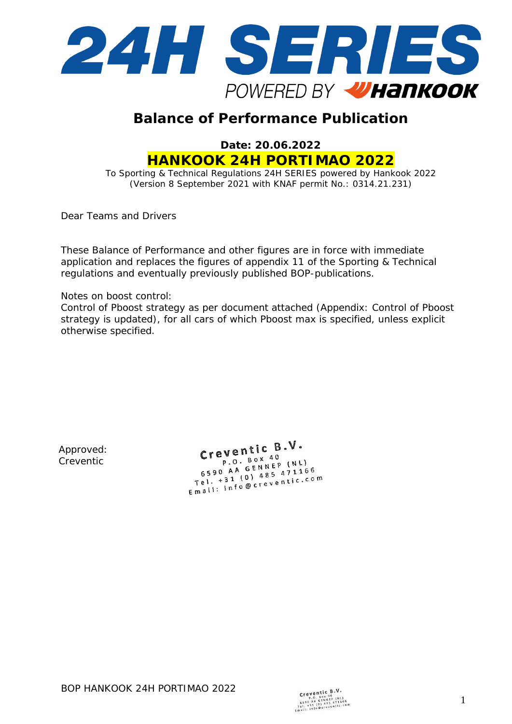

# **Balance of Performance Publication**

**Date: 20.06.2022 HANKOOK 24H PORTIMAO 2022**

To Sporting & Technical Regulations 24H SERIES powered by Hankook 2022 (Version 8 September 2021 with KNAF permit No.: 0314.21.231)

Dear Teams and Drivers

These Balance of Performance and other figures are in force with immediate application and replaces the figures of appendix 11 of the Sporting & Technical regulations and eventually previously published BOP-publications.

Notes on boost control:

Control of Pboost strategy as per document attached (Appendix: Control of Pboost strategy is updated), for all cars of which Pboost max is specified, unless explicit otherwise specified.

Approved: Creventic

Creventic  $B.V.$  $eV$ entre  $P$ . Box 40 P.O. Box 40<br>6590 AA GENNEP (NL) 6590 AA GENNEP (NL)<br>Tel. +31 (0) 485 471166<br>Tel. +31 (0) 485 471166  $5590$  A<sub>1</sub> (0) 485 471100<br>
Tel. +31 (0) 485 471100<br>
Email: info@creventic.com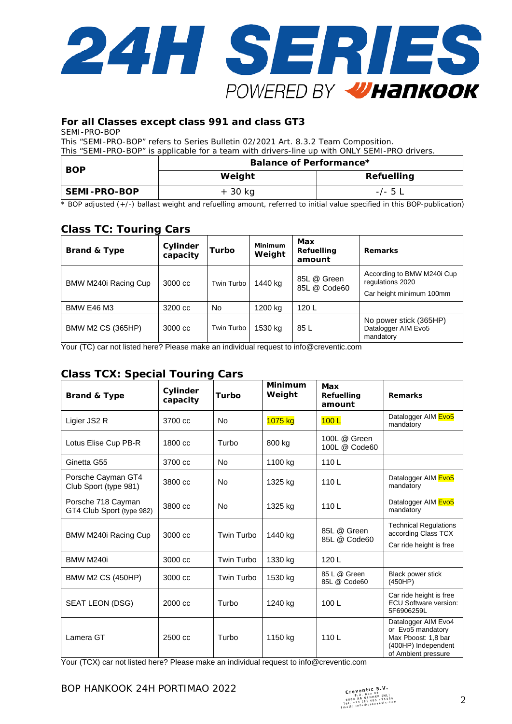

### **For all Classes except class 991 and class GT3**

SEMI-PRO-BOP

This "SEMI-PRO-BOP" refers to Series Bulletin 02/2021 Art. 8.3.2 Team Composition. This "SEMI-PRO-BOP" is applicable for a team with drivers-line up with ONLY SEMI-PRO drivers.

| <b>BOP</b>   | Balance of Performance* |                   |  |  |  |  |
|--------------|-------------------------|-------------------|--|--|--|--|
|              | Weight                  | <b>Refuelling</b> |  |  |  |  |
| SEMI-PRO-BOP | + 30 kg                 | $-/- 5 L$         |  |  |  |  |

\* BOP adjusted (+/-) ballast weight and refuelling amount, referred to initial value specified in this BOP-publication)

# **Class TC: Touring Cars**

| <b>Brand &amp; Type</b>  | Cylinder<br>capacity | Turbo      | Minimum<br>Weight | Max<br>Refuelling<br>amount | <b>Remarks</b>                                                             |
|--------------------------|----------------------|------------|-------------------|-----------------------------|----------------------------------------------------------------------------|
| BMW M240i Racing Cup     | 3000 cc              | Twin Turbo | 1440 kg           | 85L @ Green<br>85L @ Code60 | According to BMW M240i Cup<br>regulations 2020<br>Car height minimum 100mm |
| <b>BMW E46 M3</b>        | 3200 cc              | No         | 1200 kg           | 120L                        |                                                                            |
| <b>BMW M2 CS (365HP)</b> | 3000 cc              | Twin Turbo | 1530 kg           | 85 L                        | No power stick (365HP)<br>Datalogger AIM Evo5<br>mandatory                 |

Your (TC) car not listed here? Please make an individual request t[o info@creventic.com](mailto:info@creventic.com)

# **Class TCX: Special Touring Cars**

| <b>Brand &amp; Type</b>                         | Cylinder<br>capacity | Turbo          | <b>Minimum</b><br>Weight | Max<br>Refuelling<br>amount   | <b>Remarks</b>                                                                                                |
|-------------------------------------------------|----------------------|----------------|--------------------------|-------------------------------|---------------------------------------------------------------------------------------------------------------|
| Ligier JS2 R                                    | 3700 cc              | <b>No</b>      | 1075 kg                  | 100L                          | Datalogger AIM Evo5<br>mandatory                                                                              |
| Lotus Elise Cup PB-R                            | 1800 cc              | Turbo          | 800 kg                   | 100L @ Green<br>100L @ Code60 |                                                                                                               |
| Ginetta G55                                     | 3700 cc              | N <sub>o</sub> | 1100 kg                  | 110L                          |                                                                                                               |
| Porsche Cayman GT4<br>Club Sport (type 981)     | 3800 cc              | <b>No</b>      | 1325 kg                  | 110L                          | Datalogger AIM Evo5<br>mandatory                                                                              |
| Porsche 718 Cayman<br>GT4 Club Sport (type 982) | 3800 cc              | <b>No</b>      | 1325 kg                  | 110L                          | Datalogger AIM Evo5<br>mandatory                                                                              |
| BMW M240i Racing Cup                            | 3000 cc              | Twin Turbo     | 1440 kg                  | 85L @ Green<br>85L @ Code60   | <b>Technical Regulations</b><br>according Class TCX<br>Car ride height is free                                |
| <b>BMW M240i</b>                                | 3000 cc              | Twin Turbo     | 1330 kg                  | 120L                          |                                                                                                               |
| <b>BMW M2 CS (450HP)</b>                        | 3000 cc              | Twin Turbo     | 1530 kg                  | 85 L @ Green<br>85L @ Code60  | Black power stick<br>(450HP)                                                                                  |
| SEAT LEON (DSG)                                 | 2000 cc              | Turbo          | 1240 kg                  | 100L                          | Car ride height is free<br><b>ECU Software version:</b><br>5F6906259L                                         |
| Lamera GT                                       | 2500 cc              | Turbo          | 1150 kg                  | 110L                          | Datalogger AIM Evo4<br>or Evo5 mandatory<br>Max Pboost: 1,8 bar<br>(400HP) Independent<br>of Ambient pressure |

Your (TCX) car not listed here? Please make an individual request t[o info@creventic.com](mailto:info@creventic.com)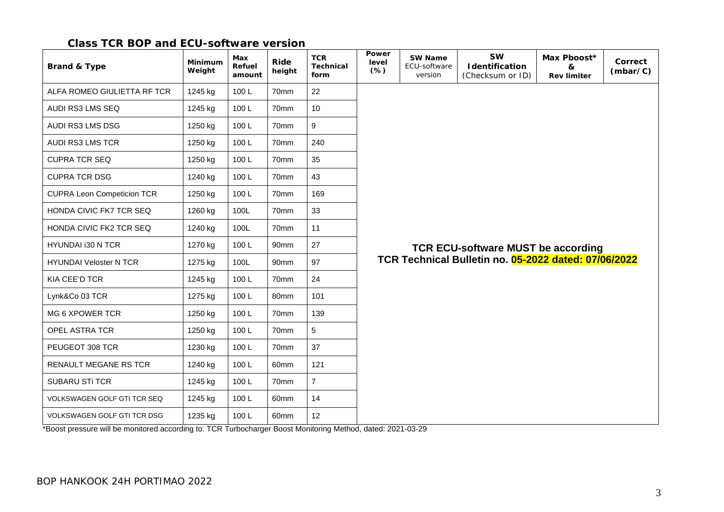### **Class TCR BOP and ECU-software version**

| <b>Brand &amp; Type</b>            | Minimum<br>Weight | Max<br>Refuel<br>amount | Ride<br>height   | <b>TCR</b><br><b>Technical</b><br>form | Power<br>level<br>$(\%)$ | <b>SW Name</b><br>ECU-software<br>version | <b>SW</b><br>Identification<br>(Checksum or ID)      | Max Pboost*<br>&<br><b>Rev limiter</b> | Correct<br>(mbar/C) |
|------------------------------------|-------------------|-------------------------|------------------|----------------------------------------|--------------------------|-------------------------------------------|------------------------------------------------------|----------------------------------------|---------------------|
| ALFA ROMEO GIULIETTA RF TCR        | 1245 kg           | 100L                    | 70mm             | 22                                     |                          |                                           |                                                      |                                        |                     |
| AUDI RS3 LMS SEQ                   | 1245 kg           | 100L                    | 70mm             | 10                                     |                          |                                           |                                                      |                                        |                     |
| AUDI RS3 LMS DSG                   | 1250 kg           | 100L                    | 70mm             | 9                                      |                          |                                           |                                                      |                                        |                     |
| <b>AUDI RS3 LMS TCR</b>            | 1250 kg           | 100L                    | 70mm             | 240                                    |                          |                                           |                                                      |                                        |                     |
| <b>CUPRA TCR SEQ</b>               | 1250 kg           | 100L                    | 70mm             | 35                                     |                          |                                           |                                                      |                                        |                     |
| <b>CUPRA TCR DSG</b>               | 1240 kg           | 100L                    | 70mm             | 43                                     |                          |                                           |                                                      |                                        |                     |
| <b>CUPRA Leon Competicion TCR</b>  | 1250 kg           | 100L                    | 70mm             | 169                                    |                          |                                           |                                                      |                                        |                     |
| HONDA CIVIC FK7 TCR SEQ            | 1260 kg           | 100L                    | 70mm             | 33                                     |                          |                                           |                                                      |                                        |                     |
| HONDA CIVIC FK2 TCR SEQ            | 1240 kg           | 100L                    | 70mm             | 11                                     |                          |                                           |                                                      |                                        |                     |
| HYUNDAI i30 N TCR                  | 1270 kg           | 100L                    | 90 <sub>mm</sub> | 27                                     |                          |                                           | <b>TCR ECU-software MUST be according</b>            |                                        |                     |
| <b>HYUNDAI Veloster N TCR</b>      | 1275 kg           | 100L                    | 90mm             | 97                                     |                          |                                           | TCR Technical Bulletin no. 05-2022 dated: 07/06/2022 |                                        |                     |
| KIA CEE'D TCR                      | 1245 kg           | 100L                    | 70mm             | 24                                     |                          |                                           |                                                      |                                        |                     |
| Lynk&Co 03 TCR                     | 1275 kg           | 100L                    | 80 <sub>mm</sub> | 101                                    |                          |                                           |                                                      |                                        |                     |
| MG 6 XPOWER TCR                    | 1250 kg           | 100L                    | 70mm             | 139                                    |                          |                                           |                                                      |                                        |                     |
| OPEL ASTRA TCR                     | 1250 kg           | 100L                    | 70mm             | 5                                      |                          |                                           |                                                      |                                        |                     |
| PEUGEOT 308 TCR                    | 1230 kg           | 100L                    | 70mm             | 37                                     |                          |                                           |                                                      |                                        |                     |
| RENAULT MEGANE RS TCR              | 1240 kg           | 100L                    | 60 <sub>mm</sub> | 121                                    |                          |                                           |                                                      |                                        |                     |
| <b>SUBARU STI TCR</b>              | 1245 kg           | 100L                    | 70mm             | $\overline{7}$                         |                          |                                           |                                                      |                                        |                     |
| VOLKSWAGEN GOLF GTI TCR SEQ        | 1245 kg           | 100L                    | 60mm             | 14                                     |                          |                                           |                                                      |                                        |                     |
| <b>VOLKSWAGEN GOLF GTI TCR DSG</b> | 1235 kg           | 100L                    | 60mm             | 12 <sup>2</sup>                        |                          |                                           |                                                      |                                        |                     |

\*Boost pressure will be monitored according to: TCR Turbocharger Boost Monitoring Method, dated: 2021-03-29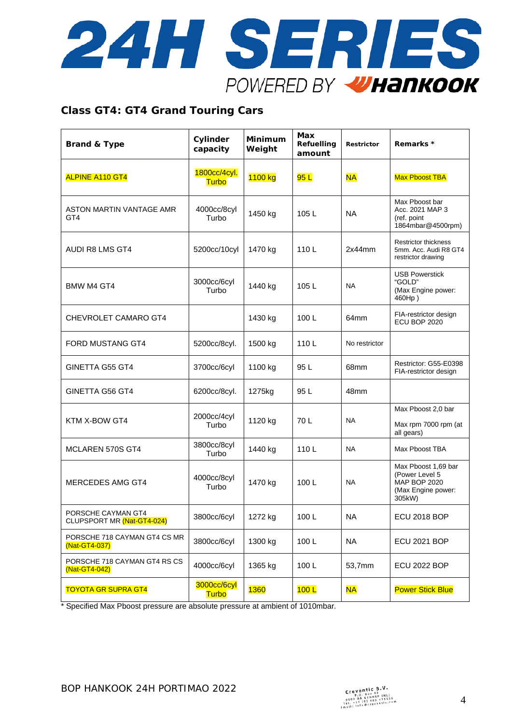

### **Class GT4: GT4 Grand Touring Cars**

| <b>Brand &amp; Type</b>                          | Cylinder<br>capacity         | <b>Minimum</b><br>Weight | Max<br>Refuelling<br>amount | <b>Restrictor</b> | Remarks *                                                                                    |
|--------------------------------------------------|------------------------------|--------------------------|-----------------------------|-------------------|----------------------------------------------------------------------------------------------|
| <b>ALPINE A110 GT4</b>                           | 1800cc/4cyl.<br><b>Turbo</b> | 1100 kg                  | 95L                         | <b>NA</b>         | <b>Max Pboost TBA</b>                                                                        |
| ASTON MARTIN VANTAGE AMR<br>GT4                  | 4000cc/8cyl<br>Turbo         | 1450 kg                  | 105L                        | <b>NA</b>         | Max Pboost bar<br>Acc. 2021 MAP 3<br>(ref. point<br>1864mbar@4500rpm)                        |
| AUDI R8 LMS GT4                                  | 5200cc/10cyl                 | 1470 kg                  | 110L                        | 2x44mm            | <b>Restrictor thickness</b><br>5mm. Acc. Audi R8 GT4<br>restrictor drawing                   |
| <b>BMW M4 GT4</b>                                | 3000cc/6cyl<br>Turbo         | 1440 kg                  | 105L                        | <b>NA</b>         | <b>USB Powerstick</b><br>"GOLD"<br>(Max Engine power:<br>460Hp)                              |
| CHEVROLET CAMARO GT4                             |                              | 1430 kg                  | 100L                        | 64mm              | FIA-restrictor design<br>ECU BOP 2020                                                        |
| <b>FORD MUSTANG GT4</b>                          | 5200cc/8cyl.                 | 1500 kg                  | 110L                        | No restrictor     |                                                                                              |
| <b>GINETTA G55 GT4</b>                           | 3700cc/6cyl                  | 1100 kg                  | 95 L                        | 68mm              | Restrictor: G55-E0398<br>FIA-restrictor design                                               |
| GINETTA G56 GT4                                  | 6200cc/8cyl.                 | 1275kg                   | 95 L                        | 48mm              |                                                                                              |
| KTM X-BOW GT4                                    | 2000cc/4cyl<br>Turbo         | 1120 kg                  | 70L                         | <b>NA</b>         | Max Pboost 2,0 bar<br>Max rpm 7000 rpm (at<br>all gears)                                     |
| <b>MCLAREN 570S GT4</b>                          | 3800cc/8cyl<br>Turbo         | 1440 kg                  | 110L                        | <b>NA</b>         | Max Pboost TBA                                                                               |
| MERCEDES AMG GT4                                 | 4000cc/8cyl<br>Turbo         | 1470 kg                  | 100L                        | <b>NA</b>         | Max Pboost 1,69 bar<br>(Power Level 5<br><b>MAP BOP 2020</b><br>(Max Engine power:<br>305kW) |
| PORSCHE CAYMAN GT4<br>CLUPSPORT MR (Nat-GT4-024) | 3800cc/6cyl                  | 1272 kg                  | 100L                        | <b>NA</b>         | <b>ECU 2018 BOP</b>                                                                          |
| PORSCHE 718 CAYMAN GT4 CS MR<br>(Nat-GT4-037)    | 3800cc/6cyl                  | 1300 kg                  | 100L                        | <b>NA</b>         | <b>ECU 2021 BOP</b>                                                                          |
| PORSCHE 718 CAYMAN GT4 RS CS<br>(Nat-GT4-042)    | 4000cc/6cyl                  | 1365 kg                  | 100L                        | 53,7mm            | <b>ECU 2022 BOP</b>                                                                          |
| <b>TOYOTA GR SUPRA GT4</b>                       | 3000cc/6cyl<br><b>Turbo</b>  | <b>1360</b>              | 100L                        | <b>NA</b>         | <b>Power Stick Blue</b>                                                                      |

\* Specified Max Pboost pressure are absolute pressure at ambient of 1010mbar.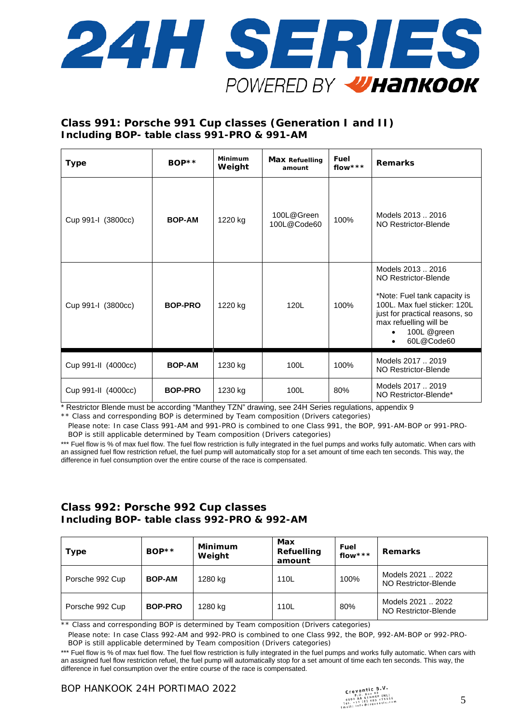

### **Class 991: Porsche 991 Cup classes (Generation I and II) Including BOP- table class 991-PRO & 991-AM**

| <b>Type</b>         | $BOP**$        | Minimum<br>Weight | Fuel<br><b>Max Refuelling</b><br>flow ***<br>amount |      | <b>Remarks</b>                                                                                                                                                                                     |
|---------------------|----------------|-------------------|-----------------------------------------------------|------|----------------------------------------------------------------------------------------------------------------------------------------------------------------------------------------------------|
| Cup 991-I (3800cc)  | <b>BOP-AM</b>  | 1220 kg           | 100L@Green<br>100L@Code60                           | 100% | Models 2013  2016<br>NO Restrictor-Blende                                                                                                                                                          |
| Cup 991-I (3800cc)  | <b>BOP-PRO</b> | 1220 kg           | 120L                                                | 100% | Models 2013  2016<br>NO Restrictor-Blende<br>*Note: Fuel tank capacity is<br>100L. Max fuel sticker: 120L<br>just for practical reasons, so<br>max refuelling will be<br>100L @green<br>60L@Code60 |
| Cup 991-II (4000cc) | <b>BOP-AM</b>  | 1230 kg           | 100L                                                | 100% | Models 2017  2019<br>NO Restrictor-Blende                                                                                                                                                          |
| Cup 991-II (4000cc) | <b>BOP-PRO</b> | 1230 kg           | 100L                                                | 80%  | Models 2017  2019<br>NO Restrictor-Blende*                                                                                                                                                         |

\* Restrictor Blende must be according "Manthey TZN" drawing, see 24H Series regulations, appendix 9 \*\* Class and corresponding BOP is determined by Team composition (Drivers categories)

Please note: In case Class 991-AM and 991-PRO is combined to one Class 991, the BOP, 991-AM-BOP or 991-PRO-BOP is still applicable determined by Team composition (Drivers categories)

\*\*\* Fuel flow is % of max fuel flow. The fuel flow restriction is fully integrated in the fuel pumps and works fully automatic. When cars with an assigned fuel flow restriction refuel, the fuel pump will automatically stop for a set amount of time each ten seconds. This way, the difference in fuel consumption over the entire course of the race is compensated.

#### **Class 992: Porsche 992 Cup classes Including BOP- table class 992-PRO & 992-AM**

| <b>Type</b>     | $BOP**$        | Minimum<br>Weight | Max<br>Refuelling<br>amount | Fuel<br>flow*** | <b>Remarks</b>                            |
|-----------------|----------------|-------------------|-----------------------------|-----------------|-------------------------------------------|
| Porsche 992 Cup | <b>BOP-AM</b>  | 1280 kg           | 110L                        | 100%            | Models 2021  2022<br>NO Restrictor-Blende |
| Porsche 992 Cup | <b>BOP-PRO</b> | 1280 kg           | 110L                        | 80%             | Models 2021  2022<br>NO Restrictor-Blende |

\*\* Class and corresponding BOP is determined by Team composition (Drivers categories)

Please note: In case Class 992-AM and 992-PRO is combined to one Class 992, the BOP, 992-AM-BOP or 992-PRO-BOP is still applicable determined by Team composition (Drivers categories)

\*\*\* Fuel flow is % of max fuel flow. The fuel flow restriction is fully integrated in the fuel pumps and works fully automatic. When cars with an assigned fuel flow restriction refuel, the fuel pump will automatically stop for a set amount of time each ten seconds. This way, the difference in fuel consumption over the entire course of the race is compensated.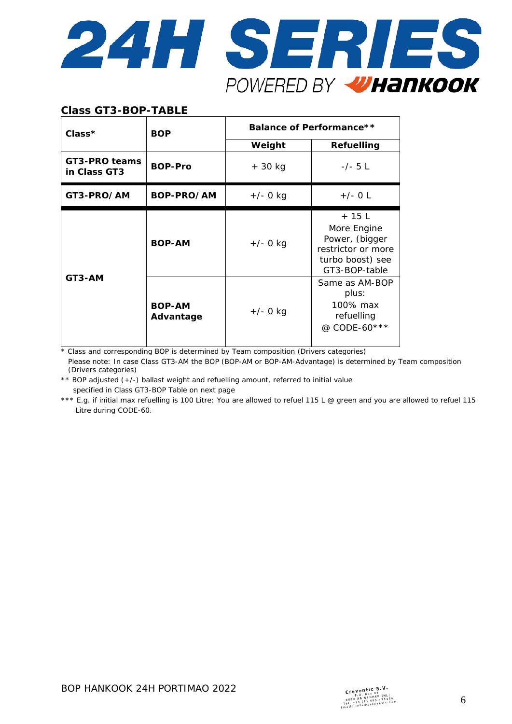

### **Class GT3-BOP-TABLE**

| $Class*$                      | <b>BOP</b>                 | <b>Balance of Performance**</b> |                                                                                                     |  |  |
|-------------------------------|----------------------------|---------------------------------|-----------------------------------------------------------------------------------------------------|--|--|
|                               |                            | Weight                          | Refuelling                                                                                          |  |  |
| GT3-PRO teams<br>in Class GT3 | <b>BOP-Pro</b>             | $+30$ kg                        | $-/- 5 L$                                                                                           |  |  |
| GT3-PRO/AM                    | BOP-PRO/AM                 | $+/- 0$ kg                      | $+/-$ O L                                                                                           |  |  |
|                               | <b>BOP-AM</b>              | $+/- 0$ kg                      | $+15$ L<br>More Engine<br>Power, (bigger<br>restrictor or more<br>turbo boost) see<br>GT3-BOP-table |  |  |
| GT3-AM                        | <b>BOP-AM</b><br>Advantage | $+/- 0$ kg                      | Same as AM-BOP<br>plus:<br>100% max<br>refuelling<br>@ CODE-60***                                   |  |  |

\* Class and corresponding BOP is determined by Team composition (Drivers categories)

Please note: In case Class GT3-AM the BOP (BOP-AM or BOP-AM-Advantage) is determined by Team composition (Drivers categories)

\*\* BOP adjusted (+/-) ballast weight and refuelling amount, referred to initial value specified in Class GT3-BOP Table on next page

\*\*\* E.g. if initial max refuelling is 100 Litre: You are allowed to refuel 115 L @ green and you are allowed to refuel 115 Litre during CODE-60.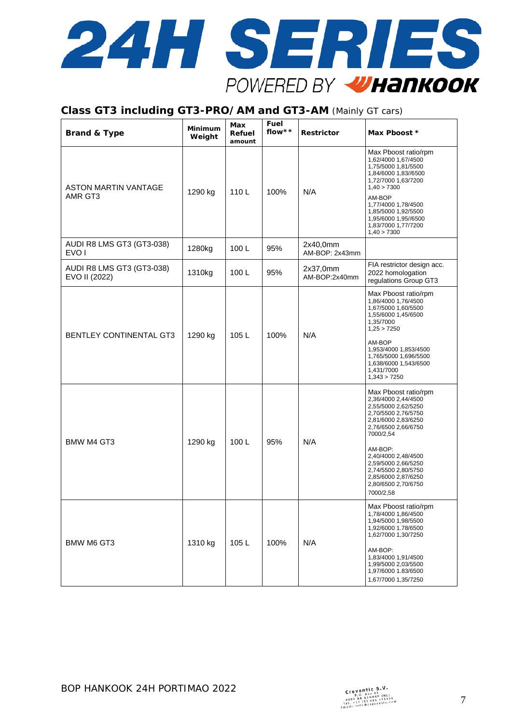

#### **Class GT3 including GT3-PRO/AM and GT3-AM** (Mainly GT cars)

| <b>Brand &amp; Type</b>                       | <b>Minimum</b><br>Weight | Max<br>Refuel<br>amount | Fuel<br>flow $* *$ | Restrictor                 | Max Pboost *                                                                                                                                                                                                                                                                                    |
|-----------------------------------------------|--------------------------|-------------------------|--------------------|----------------------------|-------------------------------------------------------------------------------------------------------------------------------------------------------------------------------------------------------------------------------------------------------------------------------------------------|
| ASTON MARTIN VANTAGE<br>AMR GT3               | 1290 kg                  | 110L                    | 100%               | N/A                        | Max Pboost ratio/rpm<br>1,62/4000 1,67/4500<br>1,75/5000 1,81/5500<br>1,84/6000 1,83//6500<br>1,72/7000 1,63/7200<br>1,40 > 7300<br>AM-BOP<br>1,77/4000 1,78/4500<br>1,85/5000 1,92/5500<br>1,95/6000 1,95//6500<br>1,83/7000 1,77/7200<br>1,40 > 7300                                          |
| AUDI R8 LMS GT3 (GT3-038)<br>EVO <sub>1</sub> | 1280kg                   | 100L                    | 95%                | 2x40,0mm<br>AM-BOP: 2x43mm |                                                                                                                                                                                                                                                                                                 |
| AUDI R8 LMS GT3 (GT3-038)<br>EVO II (2022)    | 1310kg                   | 100L                    | 95%                | 2x37,0mm<br>AM-BOP:2x40mm  | FIA restrictor design acc.<br>2022 homologation<br>regulations Group GT3                                                                                                                                                                                                                        |
| <b>BENTLEY CONTINENTAL GT3</b>                | 1290 kg                  | 105L                    | 100%               | N/A                        | Max Pboost ratio/rpm<br>1,86/4000 1,76/4500<br>1,67/5000 1,60/5500<br>1,55/6000 1,45/6500<br>1,35/7000<br>1,25 > 7250<br>AM-BOP<br>1,953/4000 1,853/4500<br>1,765/5000 1,696/5500<br>1,638/6000 1,543/6500<br>1,431/7000<br>1,343 > 7250                                                        |
| BMW M4 GT3                                    | 1290 kg                  | 100L                    | 95%                | N/A                        | Max Pboost ratio/rpm<br>2,36/4000 2,44/4500<br>2,55/5000 2,62/5250<br>2,70/5500 2,76/5750<br>2,81/6000 2,83/6250<br>2,76/6500 2,66/6750<br>7000/2,54<br>AM-BOP:<br>2,40/4000 2,48/4500<br>2,59/5000 2,66/5250<br>2,74/5500 2,80/5750<br>2,85/6000 2,87/6250<br>2,80/6500 2,70/6750<br>7000/2,58 |
| <b>BMW M6 GT3</b>                             | 1310 kg                  | 105L                    | 100%               | N/A                        | Max Pboost ratio/rpm<br>1,78/4000 1,86/4500<br>1,94/5000 1,98/5500<br>1,92/6000 1.78/6500<br>1,62/7000 1,30/7250<br>AM-BOP:<br>1,83/4000 1,91/4500<br>1,99/5000 2,03/5500<br>1,97/6000 1.83/6500<br>1,67/7000 1,35/7250                                                                         |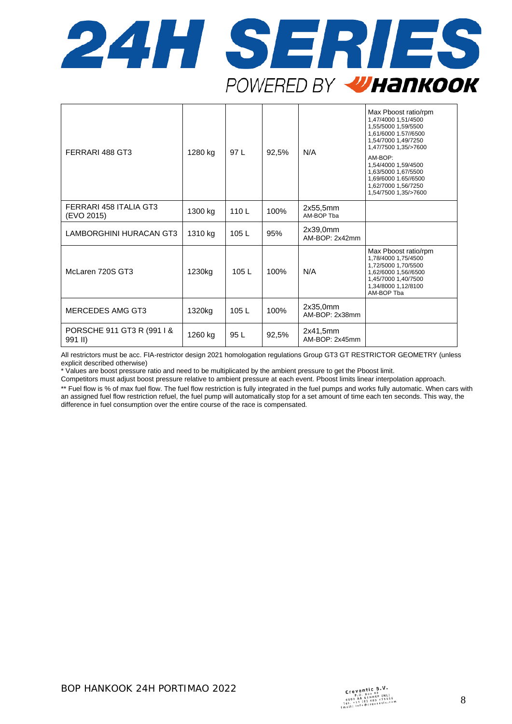

| FERRARI 488 GT3                       | 1280 kg | 97 L | 92,5% | N/A                        | Max Pboost ratio/rpm<br>1,47/4000 1,51/4500<br>1,55/5000 1,59/5500<br>1,61/6000 1.57//6500<br>1,54/7000 1,49/7250<br>1,47/7500 1,35/>7600<br>AM-BOP:<br>1,54/4000 1,59/4500<br>1,63/5000 1,67/5500<br>1,69/6000 1.65//6500<br>1,62/7000 1,56/7250<br>1,54/7500 1,35/>7600 |
|---------------------------------------|---------|------|-------|----------------------------|---------------------------------------------------------------------------------------------------------------------------------------------------------------------------------------------------------------------------------------------------------------------------|
| FERRARI 458 ITALIA GT3<br>(EVO 2015)  | 1300 kg | 110L | 100%  | 2x55,5mm<br>AM-BOP Tba     |                                                                                                                                                                                                                                                                           |
| LAMBORGHINI HURACAN GT3               | 1310 kg | 105L | 95%   | 2x39,0mm<br>AM-BOP: 2x42mm |                                                                                                                                                                                                                                                                           |
| McLaren 720S GT3                      | 1230kg  | 105L | 100%  | N/A                        | Max Pboost ratio/rpm<br>1,78/4000 1,75/4500<br>1,72/5000 1,70/5500<br>1,62/6000 1,56//6500<br>1,45/7000 1,40/7500<br>1,34/8000 1,12/8100<br>AM-BOP Tba                                                                                                                    |
| MERCEDES AMG GT3                      | 1320kg  | 105L | 100%  | 2x35,0mm<br>AM-BOP: 2x38mm |                                                                                                                                                                                                                                                                           |
| PORSCHE 911 GT3 R (991 I &<br>991 II) | 1260 kg | 95 L | 92,5% | 2x41,5mm<br>AM-BOP: 2x45mm |                                                                                                                                                                                                                                                                           |

All restrictors must be acc. FIA-restrictor design 2021 homologation regulations Group GT3 GT RESTRICTOR GEOMETRY (unless explicit described otherwise)

\* Values are boost pressure ratio and need to be multiplicated by the ambient pressure to get the Pboost limit.

Competitors must adjust boost pressure relative to ambient pressure at each event. Pboost limits linear interpolation approach.

\*\* Fuel flow is % of max fuel flow. The fuel flow restriction is fully integrated in the fuel pumps and works fully automatic. When cars with an assigned fuel flow restriction refuel, the fuel pump will automatically stop for a set amount of time each ten seconds. This way, the difference in fuel consumption over the entire course of the race is compensated.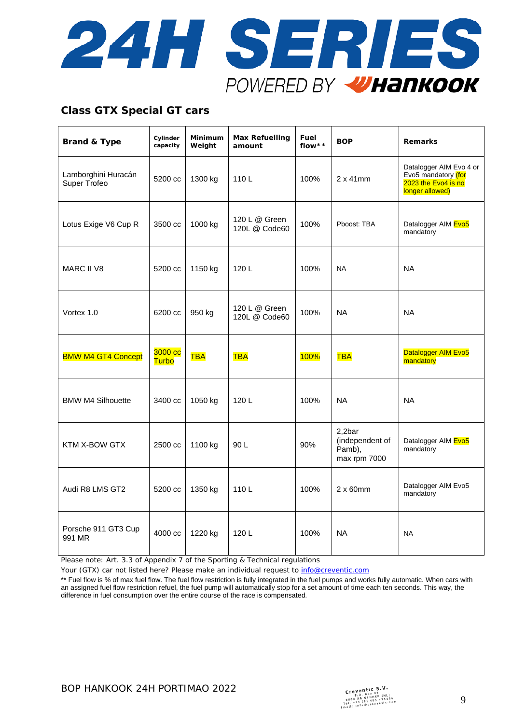

# **Class GTX Special GT cars**

| <b>Brand &amp; Type</b>             | Cylinder<br>capacity | Minimum<br>Weight | <b>Max Refuelling</b><br>amount | Fuel<br>flow** | <b>BOP</b>                                          | <b>Remarks</b>                                                                           |
|-------------------------------------|----------------------|-------------------|---------------------------------|----------------|-----------------------------------------------------|------------------------------------------------------------------------------------------|
| Lamborghini Huracán<br>Super Trofeo | 5200 cc              | 1300 kg           | 110L                            | 100%           | $2 \times 41$ mm                                    | Datalogger AIM Evo 4 or<br>Evo5 mandatory (for<br>2023 the Evo4 is no<br>longer allowed) |
| Lotus Exige V6 Cup R                | 3500 cc              | 1000 kg           | 120 L @ Green<br>120L @ Code60  | 100%           | Pboost: TBA                                         | Datalogger AIM Evo5<br>mandatory                                                         |
| <b>MARC II V8</b>                   | 5200 cc              | 1150 kg           | 120L                            | 100%           | <b>NA</b>                                           | <b>NA</b>                                                                                |
| Vortex 1.0                          | 6200 cc              | 950 kg            | 120 L @ Green<br>120L @ Code60  | 100%           | <b>NA</b>                                           | <b>NA</b>                                                                                |
| <b>BMW M4 GT4 Concept</b>           | 3000 cc<br>Turbo     | <b>TBA</b>        | <b>TBA</b>                      | <b>100%</b>    | <b>TBA</b>                                          | Datalogger AIM Evo5<br>mandatory                                                         |
| <b>BMW M4 Silhouette</b>            | 3400 cc              | 1050 kg           | 120L                            | 100%           | <b>NA</b>                                           | <b>NA</b>                                                                                |
| KTM X-BOW GTX                       | 2500 cc              | 1100 kg           | 90 L                            | 90%            | 2,2bar<br>(independent of<br>Pamb),<br>max rpm 7000 | Datalogger AIM Evo5<br>mandatory                                                         |
| Audi R8 LMS GT2                     | 5200 cc              | 1350 kg           | 110L                            | 100%           | $2 \times 60$ mm                                    | Datalogger AIM Evo5<br>mandatory                                                         |
| Porsche 911 GT3 Cup<br>991 MR       | 4000 cc              | 1220 kg           | 120L                            | 100%           | <b>NA</b>                                           | <b>NA</b>                                                                                |

Please note: Art. 3.3 of Appendix 7 of the Sporting & Technical regulations

Your (GTX) car not listed here? Please make an individual request to [info@creventic.com](mailto:info@creventic.com)

\*\* Fuel flow is % of max fuel flow. The fuel flow restriction is fully integrated in the fuel pumps and works fully automatic. When cars with an assigned fuel flow restriction refuel, the fuel pump will automatically stop for a set amount of time each ten seconds. This way, the difference in fuel consumption over the entire course of the race is compensated.